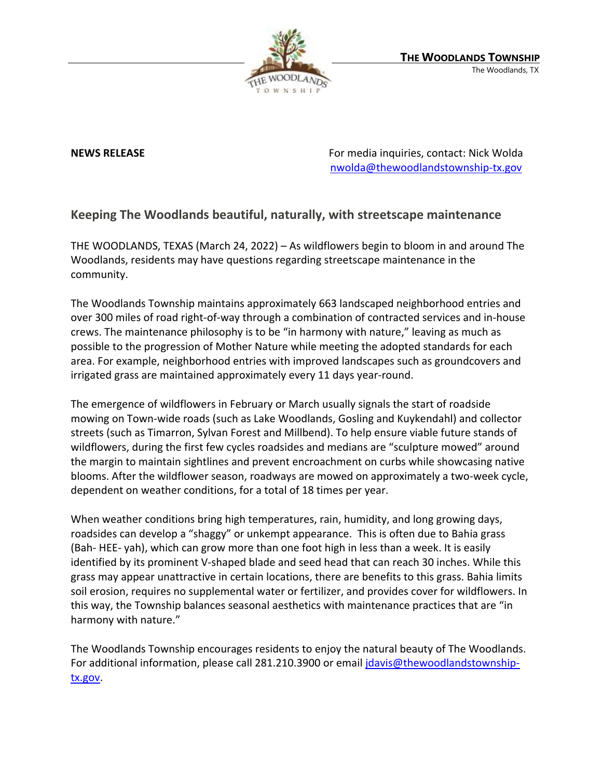

**NEWS RELEASE** For media inquiries, contact: Nick Wolda **NEWS** RELEASE [nwolda@thewoodlandstownship-tx.gov](mailto:nwolda@thewoodlandstownship-tx.gov)

## **Keeping The Woodlands beautiful, naturally, with streetscape maintenance**

THE WOODLANDS, TEXAS (March 24, 2022) – As wildflowers begin to bloom in and around The Woodlands, residents may have questions regarding streetscape maintenance in the community.

The Woodlands Township maintains approximately 663 landscaped neighborhood entries and over 300 miles of road right-of-way through a combination of contracted services and in-house crews. The maintenance philosophy is to be "in harmony with nature," leaving as much as possible to the progression of Mother Nature while meeting the adopted standards for each area. For example, neighborhood entries with improved landscapes such as groundcovers and irrigated grass are maintained approximately every 11 days year-round.

The emergence of wildflowers in February or March usually signals the start of roadside mowing on Town-wide roads (such as Lake Woodlands, Gosling and Kuykendahl) and collector streets (such as Timarron, Sylvan Forest and Millbend). To help ensure viable future stands of wildflowers, during the first few cycles roadsides and medians are "sculpture mowed" around the margin to maintain sightlines and prevent encroachment on curbs while showcasing native blooms. After the wildflower season, roadways are mowed on approximately a two-week cycle, dependent on weather conditions, for a total of 18 times per year.

When weather conditions bring high temperatures, rain, humidity, and long growing days, roadsides can develop a "shaggy" or unkempt appearance. This is often due to Bahia grass (Bah- HEE- yah), which can grow more than one foot high in less than a week. It is easily identified by its prominent V-shaped blade and seed head that can reach 30 inches. While this grass may appear unattractive in certain locations, there are benefits to this grass. Bahia limits soil erosion, requires no supplemental water or fertilizer, and provides cover for wildflowers. In this way, the Township balances seasonal aesthetics with maintenance practices that are "in harmony with nature."

The Woodlands Township encourages residents to enjoy the natural beauty of The Woodlands. For additional information, please call 281.210.3900 or email [jdavis@thewoodlandstownship](mailto:jdavis@thewoodlandstownship-tx.gov)[tx.gov.](mailto:jdavis@thewoodlandstownship-tx.gov)